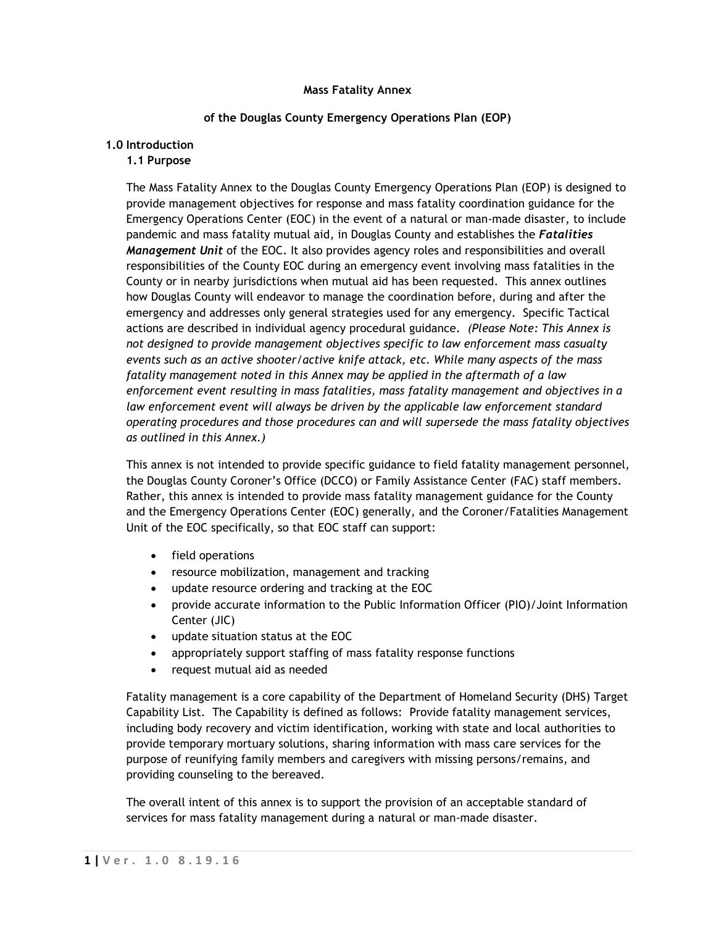### **Mass Fatality Annex**

### **of the Douglas County Emergency Operations Plan (EOP)**

### **1.0 Introduction**

### **1.1 Purpose**

The Mass Fatality Annex to the Douglas County Emergency Operations Plan (EOP) is designed to provide management objectives for response and mass fatality coordination guidance for the Emergency Operations Center (EOC) in the event of a natural or man-made disaster, to include pandemic and mass fatality mutual aid, in Douglas County and establishes the *Fatalities Management Unit* of the EOC. It also provides agency roles and responsibilities and overall responsibilities of the County EOC during an emergency event involving mass fatalities in the County or in nearby jurisdictions when mutual aid has been requested. This annex outlines how Douglas County will endeavor to manage the coordination before, during and after the emergency and addresses only general strategies used for any emergency. Specific Tactical actions are described in individual agency procedural guidance. *(Please Note: This Annex is not designed to provide management objectives specific to law enforcement mass casualty events such as an active shooter/active knife attack, etc. While many aspects of the mass fatality management noted in this Annex may be applied in the aftermath of a law enforcement event resulting in mass fatalities, mass fatality management and objectives in a law enforcement event will always be driven by the applicable law enforcement standard operating procedures and those procedures can and will supersede the mass fatality objectives as outlined in this Annex.)*

This annex is not intended to provide specific guidance to field fatality management personnel, the Douglas County Coroner's Office (DCCO) or Family Assistance Center (FAC) staff members. Rather, this annex is intended to provide mass fatality management guidance for the County and the Emergency Operations Center (EOC) generally, and the Coroner/Fatalities Management Unit of the EOC specifically, so that EOC staff can support:

- field operations
- resource mobilization, management and tracking
- update resource ordering and tracking at the EOC
- provide accurate information to the Public Information Officer (PIO)/Joint Information Center (JIC)
- update situation status at the EOC
- appropriately support staffing of mass fatality response functions
- request mutual aid as needed

Fatality management is a core capability of the Department of Homeland Security (DHS) Target Capability List. The Capability is defined as follows: Provide fatality management services, including body recovery and victim identification, working with state and local authorities to provide temporary mortuary solutions, sharing information with mass care services for the purpose of reunifying family members and caregivers with missing persons/remains, and providing counseling to the bereaved.

The overall intent of this annex is to support the provision of an acceptable standard of services for mass fatality management during a natural or man-made disaster.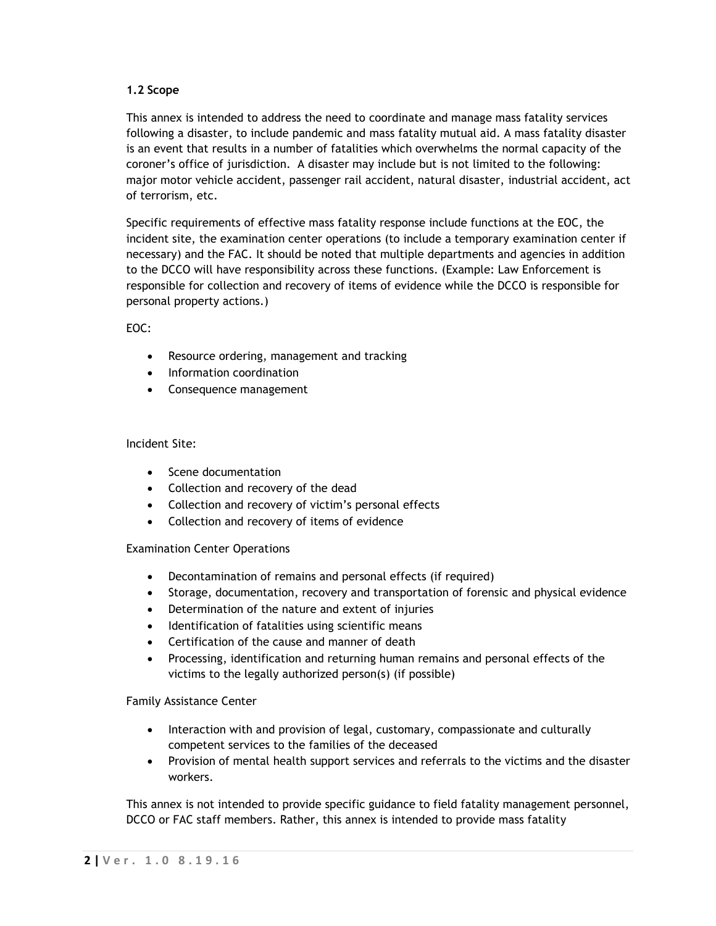# **1.2 Scope**

This annex is intended to address the need to coordinate and manage mass fatality services following a disaster, to include pandemic and mass fatality mutual aid. A mass fatality disaster is an event that results in a number of fatalities which overwhelms the normal capacity of the coroner's office of jurisdiction. A disaster may include but is not limited to the following: major motor vehicle accident, passenger rail accident, natural disaster, industrial accident, act of terrorism, etc.

Specific requirements of effective mass fatality response include functions at the EOC, the incident site, the examination center operations (to include a temporary examination center if necessary) and the FAC. It should be noted that multiple departments and agencies in addition to the DCCO will have responsibility across these functions. (Example: Law Enforcement is responsible for collection and recovery of items of evidence while the DCCO is responsible for personal property actions.)

# EOC:

- Resource ordering, management and tracking
- Information coordination
- Consequence management

## Incident Site:

- Scene documentation
- Collection and recovery of the dead
- Collection and recovery of victim's personal effects
- Collection and recovery of items of evidence

## Examination Center Operations

- Decontamination of remains and personal effects (if required)
- Storage, documentation, recovery and transportation of forensic and physical evidence
- Determination of the nature and extent of injuries
- Identification of fatalities using scientific means
- Certification of the cause and manner of death
- Processing, identification and returning human remains and personal effects of the victims to the legally authorized person(s) (if possible)

## Family Assistance Center

- Interaction with and provision of legal, customary, compassionate and culturally competent services to the families of the deceased
- Provision of mental health support services and referrals to the victims and the disaster workers.

This annex is not intended to provide specific guidance to field fatality management personnel, DCCO or FAC staff members. Rather, this annex is intended to provide mass fatality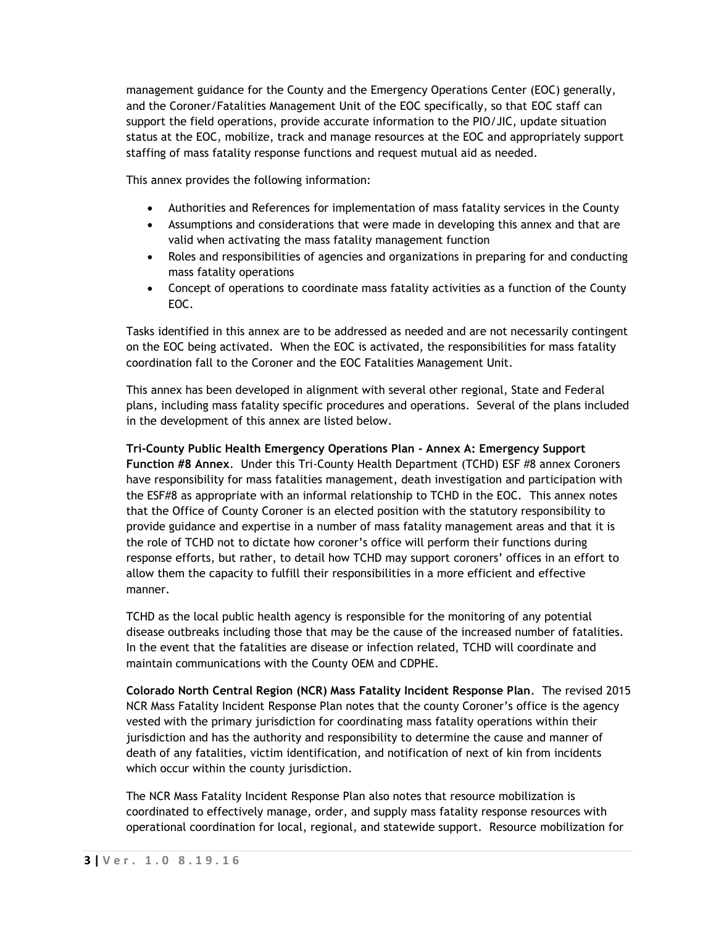management guidance for the County and the Emergency Operations Center (EOC) generally, and the Coroner/Fatalities Management Unit of the EOC specifically, so that EOC staff can support the field operations, provide accurate information to the PIO/JIC, update situation status at the EOC, mobilize, track and manage resources at the EOC and appropriately support staffing of mass fatality response functions and request mutual aid as needed.

This annex provides the following information:

- Authorities and References for implementation of mass fatality services in the County
- Assumptions and considerations that were made in developing this annex and that are valid when activating the mass fatality management function
- Roles and responsibilities of agencies and organizations in preparing for and conducting mass fatality operations
- Concept of operations to coordinate mass fatality activities as a function of the County EOC.

Tasks identified in this annex are to be addressed as needed and are not necessarily contingent on the EOC being activated. When the EOC is activated, the responsibilities for mass fatality coordination fall to the Coroner and the EOC Fatalities Management Unit.

This annex has been developed in alignment with several other regional, State and Federal plans, including mass fatality specific procedures and operations. Several of the plans included in the development of this annex are listed below.

**Tri-County Public Health Emergency Operations Plan - Annex A: Emergency Support Function #8 Annex**. Under this Tri-County Health Department (TCHD) ESF #8 annex Coroners have responsibility for mass fatalities management, death investigation and participation with the ESF#8 as appropriate with an informal relationship to TCHD in the EOC. This annex notes that the Office of County Coroner is an elected position with the statutory responsibility to provide guidance and expertise in a number of mass fatality management areas and that it is the role of TCHD not to dictate how coroner's office will perform their functions during response efforts, but rather, to detail how TCHD may support coroners' offices in an effort to allow them the capacity to fulfill their responsibilities in a more efficient and effective manner.

TCHD as the local public health agency is responsible for the monitoring of any potential disease outbreaks including those that may be the cause of the increased number of fatalities. In the event that the fatalities are disease or infection related, TCHD will coordinate and maintain communications with the County OEM and CDPHE.

**Colorado North Central Region (NCR) Mass Fatality Incident Response Plan**. The revised 2015 NCR Mass Fatality Incident Response Plan notes that the county Coroner's office is the agency vested with the primary jurisdiction for coordinating mass fatality operations within their jurisdiction and has the authority and responsibility to determine the cause and manner of death of any fatalities, victim identification, and notification of next of kin from incidents which occur within the county jurisdiction.

The NCR Mass Fatality Incident Response Plan also notes that resource mobilization is coordinated to effectively manage, order, and supply mass fatality response resources with operational coordination for local, regional, and statewide support. Resource mobilization for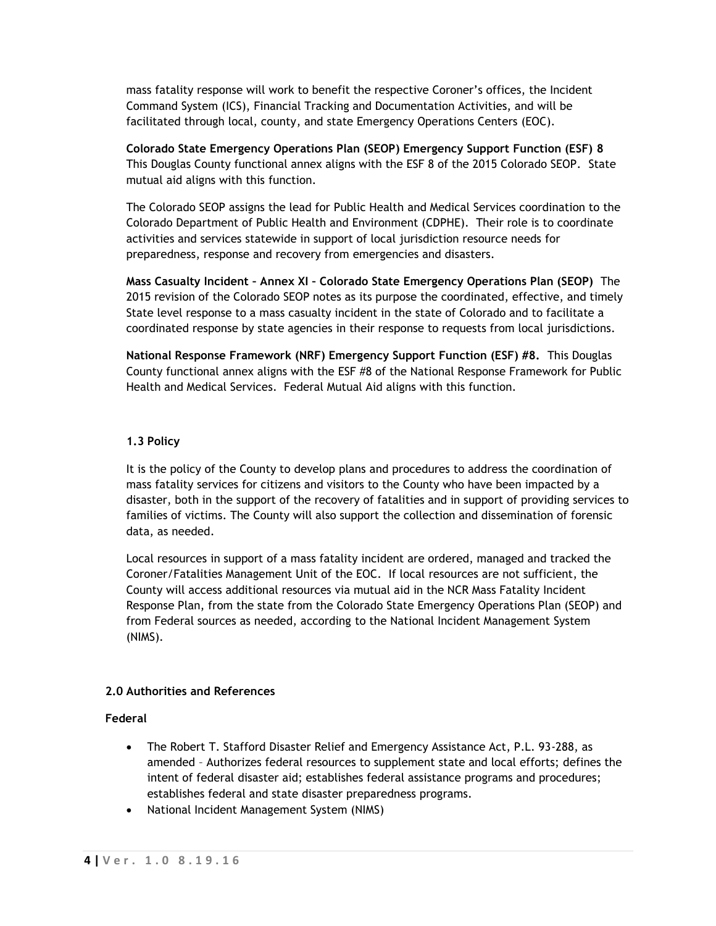mass fatality response will work to benefit the respective Coroner's offices, the Incident Command System (ICS), Financial Tracking and Documentation Activities, and will be facilitated through local, county, and state Emergency Operations Centers (EOC).

**Colorado State Emergency Operations Plan (SEOP) Emergency Support Function (ESF) 8**  This Douglas County functional annex aligns with the ESF 8 of the 2015 Colorado SEOP. State mutual aid aligns with this function.

The Colorado SEOP assigns the lead for Public Health and Medical Services coordination to the Colorado Department of Public Health and Environment (CDPHE). Their role is to coordinate activities and services statewide in support of local jurisdiction resource needs for preparedness, response and recovery from emergencies and disasters.

**Mass Casualty Incident – Annex XI – Colorado State Emergency Operations Plan (SEOP)** The 2015 revision of the Colorado SEOP notes as its purpose the coordinated, effective, and timely State level response to a mass casualty incident in the state of Colorado and to facilitate a coordinated response by state agencies in their response to requests from local jurisdictions.

**National Response Framework (NRF) Emergency Support Function (ESF) #8.** This Douglas County functional annex aligns with the ESF #8 of the National Response Framework for Public Health and Medical Services. Federal Mutual Aid aligns with this function.

### **1.3 Policy**

It is the policy of the County to develop plans and procedures to address the coordination of mass fatality services for citizens and visitors to the County who have been impacted by a disaster, both in the support of the recovery of fatalities and in support of providing services to families of victims. The County will also support the collection and dissemination of forensic data, as needed.

Local resources in support of a mass fatality incident are ordered, managed and tracked the Coroner/Fatalities Management Unit of the EOC. If local resources are not sufficient, the County will access additional resources via mutual aid in the NCR Mass Fatality Incident Response Plan, from the state from the Colorado State Emergency Operations Plan (SEOP) and from Federal sources as needed, according to the National Incident Management System (NIMS).

## **2.0 Authorities and References**

#### **Federal**

- The Robert T. Stafford Disaster Relief and Emergency Assistance Act, P.L. 93-288, as amended – Authorizes federal resources to supplement state and local efforts; defines the intent of federal disaster aid; establishes federal assistance programs and procedures; establishes federal and state disaster preparedness programs.
- National Incident Management System (NIMS)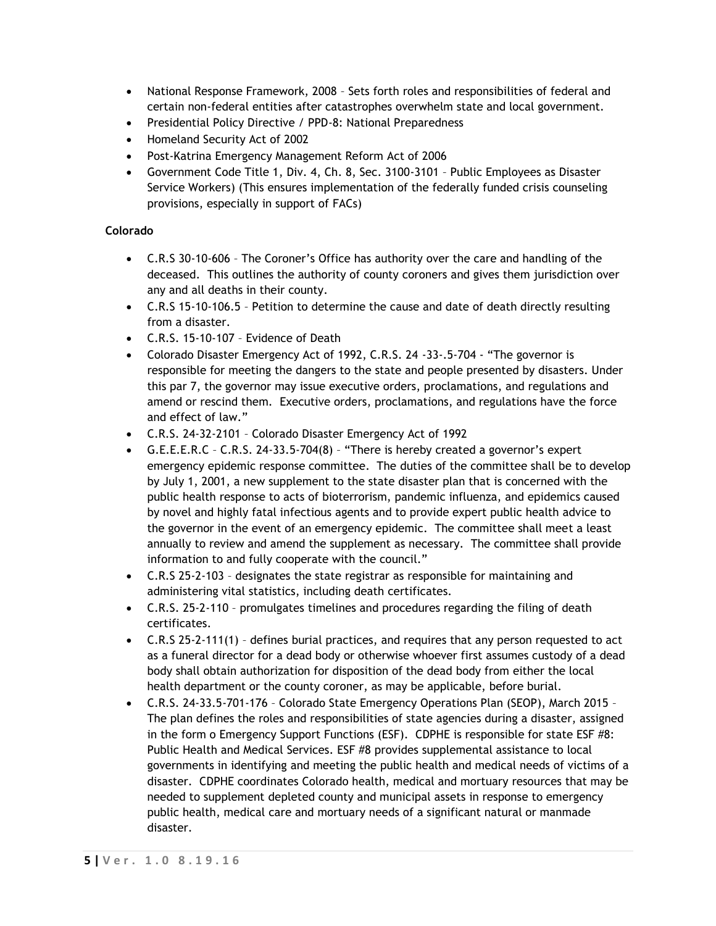- National Response Framework, 2008 Sets forth roles and responsibilities of federal and certain non-federal entities after catastrophes overwhelm state and local government.
- Presidential Policy Directive / PPD-8: National Preparedness
- Homeland Security Act of 2002
- Post-Katrina Emergency Management Reform Act of 2006
- Government Code Title 1, Div. 4, Ch. 8, Sec. 3100-3101 Public Employees as Disaster Service Workers) (This ensures implementation of the federally funded crisis counseling provisions, especially in support of FACs)

# **Colorado**

- C.R.S 30-10-606 The Coroner's Office has authority over the care and handling of the deceased. This outlines the authority of county coroners and gives them jurisdiction over any and all deaths in their county.
- C.R.S 15-10-106.5 Petition to determine the cause and date of death directly resulting from a disaster.
- C.R.S. 15-10-107 Evidence of Death
- Colorado Disaster Emergency Act of 1992, C.R.S. 24 -33-.5-704 "The governor is responsible for meeting the dangers to the state and people presented by disasters. Under this par 7, the governor may issue executive orders, proclamations, and regulations and amend or rescind them. Executive orders, proclamations, and regulations have the force and effect of law."
- C.R.S. 24-32-2101 Colorado Disaster Emergency Act of 1992
- G.E.E.E.R.C C.R.S. 24-33.5-704(8) "There is hereby created a governor's expert emergency epidemic response committee. The duties of the committee shall be to develop by July 1, 2001, a new supplement to the state disaster plan that is concerned with the public health response to acts of bioterrorism, pandemic influenza, and epidemics caused by novel and highly fatal infectious agents and to provide expert public health advice to the governor in the event of an emergency epidemic. The committee shall meet a least annually to review and amend the supplement as necessary. The committee shall provide information to and fully cooperate with the council."
- C.R.S 25-2-103 designates the state registrar as responsible for maintaining and administering vital statistics, including death certificates.
- C.R.S. 25-2-110 promulgates timelines and procedures regarding the filing of death certificates.
- C.R.S 25-2-111(1) defines burial practices, and requires that any person requested to act as a funeral director for a dead body or otherwise whoever first assumes custody of a dead body shall obtain authorization for disposition of the dead body from either the local health department or the county coroner, as may be applicable, before burial.
- C.R.S. 24-33.5-701-176 Colorado State Emergency Operations Plan (SEOP), March 2015 The plan defines the roles and responsibilities of state agencies during a disaster, assigned in the form o Emergency Support Functions (ESF). CDPHE is responsible for state ESF #8: Public Health and Medical Services. ESF #8 provides supplemental assistance to local governments in identifying and meeting the public health and medical needs of victims of a disaster. CDPHE coordinates Colorado health, medical and mortuary resources that may be needed to supplement depleted county and municipal assets in response to emergency public health, medical care and mortuary needs of a significant natural or manmade disaster.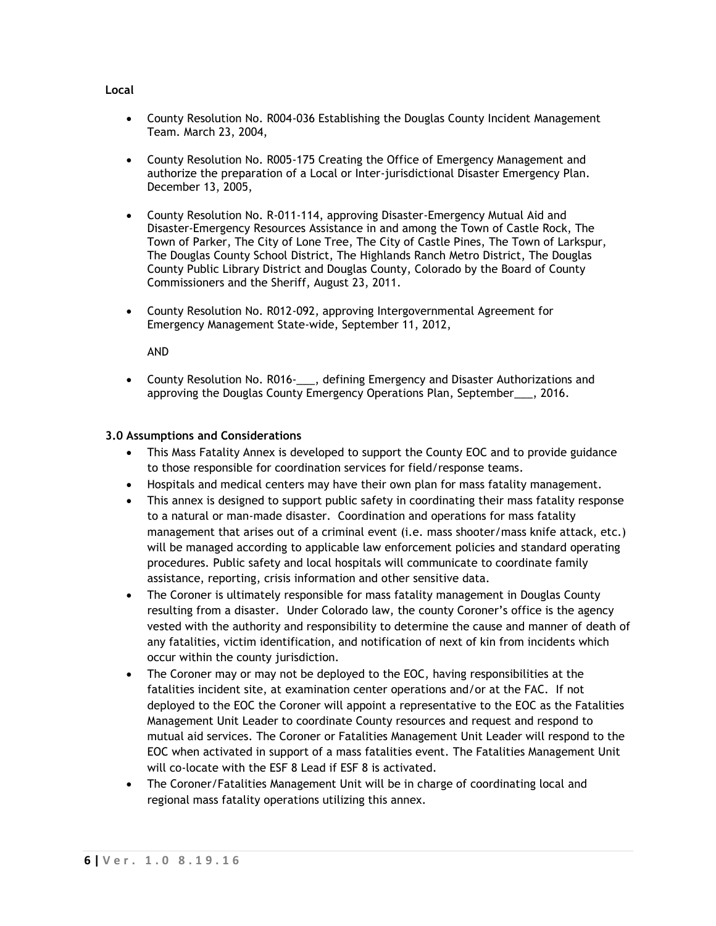- County Resolution No. R004-036 Establishing the Douglas County Incident Management Team. March 23, 2004,
- County Resolution No. R005-175 Creating the Office of Emergency Management and authorize the preparation of a Local or Inter-jurisdictional Disaster Emergency Plan. December 13, 2005,
- County Resolution No. R-011-114, approving Disaster-Emergency Mutual Aid and Disaster-Emergency Resources Assistance in and among the Town of Castle Rock, The Town of Parker, The City of Lone Tree, The City of Castle Pines, The Town of Larkspur, The Douglas County School District, The Highlands Ranch Metro District, The Douglas County Public Library District and Douglas County, Colorado by the Board of County Commissioners and the Sheriff, August 23, 2011.
- County Resolution No. R012-092, approving Intergovernmental Agreement for Emergency Management State-wide, September 11, 2012,

AND

 County Resolution No. R016-\_\_\_, defining Emergency and Disaster Authorizations and approving the Douglas County Emergency Operations Plan, September\_\_\_, 2016.

## **3.0 Assumptions and Considerations**

- This Mass Fatality Annex is developed to support the County EOC and to provide guidance to those responsible for coordination services for field/response teams.
- Hospitals and medical centers may have their own plan for mass fatality management.
- This annex is designed to support public safety in coordinating their mass fatality response to a natural or man-made disaster. Coordination and operations for mass fatality management that arises out of a criminal event (i.e. mass shooter/mass knife attack, etc.) will be managed according to applicable law enforcement policies and standard operating procedures. Public safety and local hospitals will communicate to coordinate family assistance, reporting, crisis information and other sensitive data.
- The Coroner is ultimately responsible for mass fatality management in Douglas County resulting from a disaster. Under Colorado law, the county Coroner's office is the agency vested with the authority and responsibility to determine the cause and manner of death of any fatalities, victim identification, and notification of next of kin from incidents which occur within the county jurisdiction.
- The Coroner may or may not be deployed to the EOC, having responsibilities at the fatalities incident site, at examination center operations and/or at the FAC. If not deployed to the EOC the Coroner will appoint a representative to the EOC as the Fatalities Management Unit Leader to coordinate County resources and request and respond to mutual aid services. The Coroner or Fatalities Management Unit Leader will respond to the EOC when activated in support of a mass fatalities event. The Fatalities Management Unit will co-locate with the ESF 8 Lead if ESF 8 is activated.
- The Coroner/Fatalities Management Unit will be in charge of coordinating local and regional mass fatality operations utilizing this annex.

### **Local**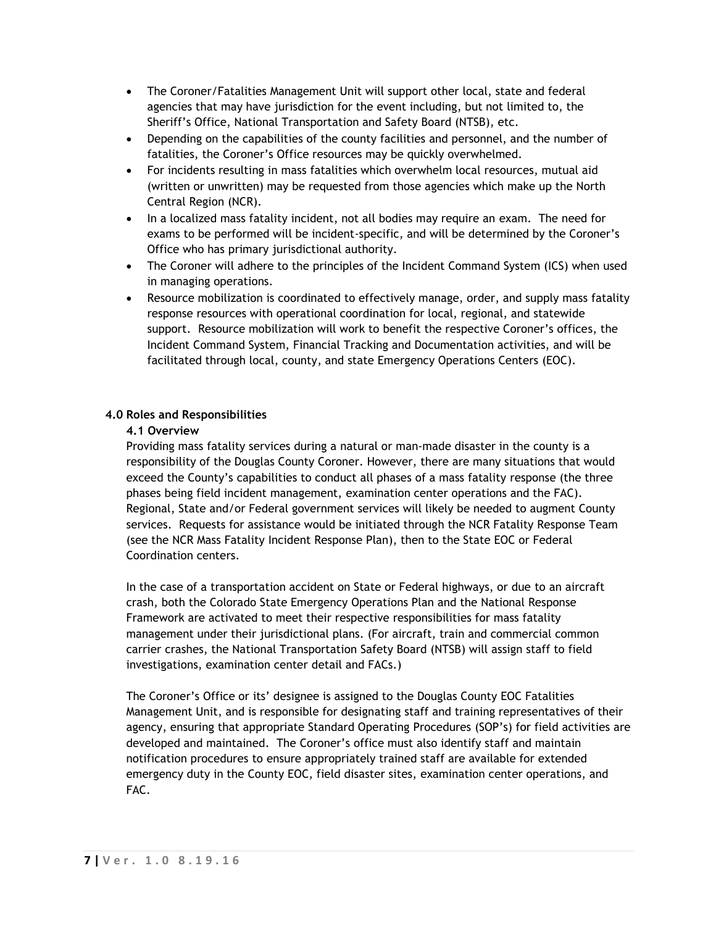- The Coroner/Fatalities Management Unit will support other local, state and federal agencies that may have jurisdiction for the event including, but not limited to, the Sheriff's Office, National Transportation and Safety Board (NTSB), etc.
- Depending on the capabilities of the county facilities and personnel, and the number of fatalities, the Coroner's Office resources may be quickly overwhelmed.
- For incidents resulting in mass fatalities which overwhelm local resources, mutual aid (written or unwritten) may be requested from those agencies which make up the North Central Region (NCR).
- In a localized mass fatality incident, not all bodies may require an exam. The need for exams to be performed will be incident-specific, and will be determined by the Coroner's Office who has primary jurisdictional authority.
- The Coroner will adhere to the principles of the Incident Command System (ICS) when used in managing operations.
- Resource mobilization is coordinated to effectively manage, order, and supply mass fatality response resources with operational coordination for local, regional, and statewide support. Resource mobilization will work to benefit the respective Coroner's offices, the Incident Command System, Financial Tracking and Documentation activities, and will be facilitated through local, county, and state Emergency Operations Centers (EOC).

# **4.0 Roles and Responsibilities**

## **4.1 Overview**

Providing mass fatality services during a natural or man-made disaster in the county is a responsibility of the Douglas County Coroner. However, there are many situations that would exceed the County's capabilities to conduct all phases of a mass fatality response (the three phases being field incident management, examination center operations and the FAC). Regional, State and/or Federal government services will likely be needed to augment County services. Requests for assistance would be initiated through the NCR Fatality Response Team (see the NCR Mass Fatality Incident Response Plan), then to the State EOC or Federal Coordination centers.

In the case of a transportation accident on State or Federal highways, or due to an aircraft crash, both the Colorado State Emergency Operations Plan and the National Response Framework are activated to meet their respective responsibilities for mass fatality management under their jurisdictional plans. (For aircraft, train and commercial common carrier crashes, the National Transportation Safety Board (NTSB) will assign staff to field investigations, examination center detail and FACs.)

The Coroner's Office or its' designee is assigned to the Douglas County EOC Fatalities Management Unit, and is responsible for designating staff and training representatives of their agency, ensuring that appropriate Standard Operating Procedures (SOP's) for field activities are developed and maintained. The Coroner's office must also identify staff and maintain notification procedures to ensure appropriately trained staff are available for extended emergency duty in the County EOC, field disaster sites, examination center operations, and FAC.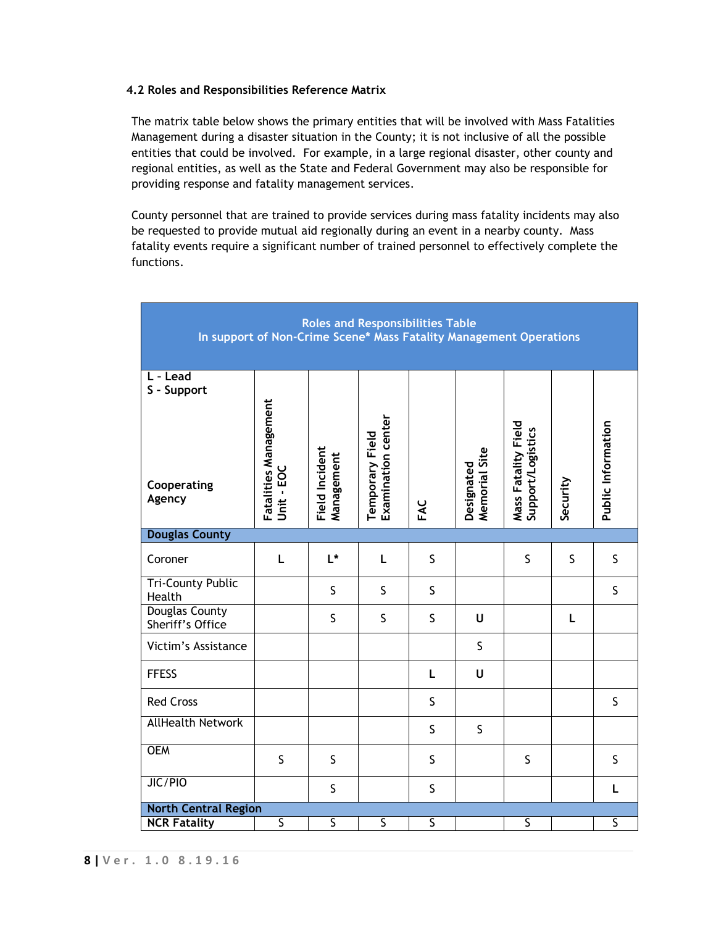## **4.2 Roles and Responsibilities Reference Matrix**

The matrix table below shows the primary entities that will be involved with Mass Fatalities Management during a disaster situation in the County; it is not inclusive of all the possible entities that could be involved. For example, in a large regional disaster, other county and regional entities, as well as the State and Federal Government may also be responsible for providing response and fatality management services.

County personnel that are trained to provide services during mass fatality incidents may also be requested to provide mutual aid regionally during an event in a nearby county. Mass fatality events require a significant number of trained personnel to effectively complete the functions.

| <b>Roles and Responsibilities Table</b><br>In support of Non-Crime Scene* Mass Fatality Management Operations |                                     |                              |                                       |                         |                             |                                          |          |                         |
|---------------------------------------------------------------------------------------------------------------|-------------------------------------|------------------------------|---------------------------------------|-------------------------|-----------------------------|------------------------------------------|----------|-------------------------|
| L - Lead<br>S - Support<br>Cooperating<br>Agency                                                              | Fatalities Management<br>Unit - EOC | Field Incident<br>Management | Temporary Field<br>Examination center | FAC                     | Memorial Site<br>Designated | Mass Fatality Field<br>Support/Logistics | Security | Public Information      |
| <b>Douglas County</b>                                                                                         |                                     |                              |                                       |                         |                             |                                          |          |                         |
| Coroner                                                                                                       | L                                   | L*                           | L                                     | S                       |                             | S                                        | S        | S                       |
| <b>Tri-County Public</b><br>Health                                                                            |                                     | $\mathsf S$                  | $\mathsf S$                           | $\mathsf S$             |                             |                                          |          | $\sf S$                 |
| <b>Douglas County</b><br>Sheriff's Office                                                                     |                                     | $\mathsf S$                  | $\mathsf S$                           | $\mathsf S$             | U                           |                                          | L        |                         |
| Victim's Assistance                                                                                           |                                     |                              |                                       |                         | $\mathsf S$                 |                                          |          |                         |
| <b>FFESS</b>                                                                                                  |                                     |                              |                                       | L                       | U                           |                                          |          |                         |
| <b>Red Cross</b>                                                                                              |                                     |                              |                                       | S                       |                             |                                          |          | $\mathsf S$             |
| <b>AllHealth Network</b>                                                                                      |                                     |                              |                                       | $\mathsf S$             | $\mathsf S$                 |                                          |          |                         |
| <b>OEM</b>                                                                                                    | $\mathsf S$                         | $\sf S$                      |                                       | S                       |                             | S                                        |          | $\sf S$                 |
| JIC/PIO                                                                                                       |                                     | $\mathsf S$                  |                                       | S                       |                             |                                          |          | L                       |
| <b>North Central Region</b>                                                                                   |                                     |                              |                                       |                         |                             |                                          |          |                         |
| <b>NCR Fatality</b>                                                                                           | $\overline{\mathsf{S}}$             | $\overline{\mathsf{S}}$      | $\overline{\mathsf{S}}$               | $\overline{\mathsf{s}}$ |                             | $\overline{\mathsf{S}}$                  |          | $\overline{\mathsf{S}}$ |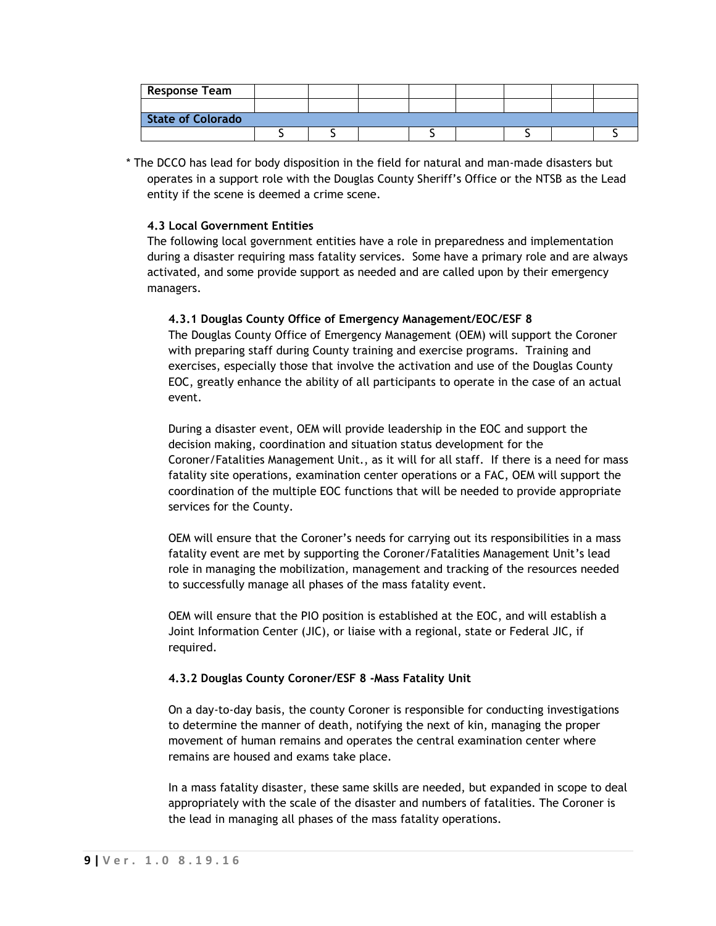| <b>Response Team</b>     |  |  |  |  |
|--------------------------|--|--|--|--|
|                          |  |  |  |  |
| <b>State of Colorado</b> |  |  |  |  |
|                          |  |  |  |  |

\* The DCCO has lead for body disposition in the field for natural and man-made disasters but operates in a support role with the Douglas County Sheriff's Office or the NTSB as the Lead entity if the scene is deemed a crime scene.

### **4.3 Local Government Entities**

The following local government entities have a role in preparedness and implementation during a disaster requiring mass fatality services. Some have a primary role and are always activated, and some provide support as needed and are called upon by their emergency managers.

### **4.3.1 Douglas County Office of Emergency Management/EOC/ESF 8**

The Douglas County Office of Emergency Management (OEM) will support the Coroner with preparing staff during County training and exercise programs. Training and exercises, especially those that involve the activation and use of the Douglas County EOC, greatly enhance the ability of all participants to operate in the case of an actual event.

During a disaster event, OEM will provide leadership in the EOC and support the decision making, coordination and situation status development for the Coroner/Fatalities Management Unit., as it will for all staff. If there is a need for mass fatality site operations, examination center operations or a FAC, OEM will support the coordination of the multiple EOC functions that will be needed to provide appropriate services for the County.

OEM will ensure that the Coroner's needs for carrying out its responsibilities in a mass fatality event are met by supporting the Coroner/Fatalities Management Unit's lead role in managing the mobilization, management and tracking of the resources needed to successfully manage all phases of the mass fatality event.

OEM will ensure that the PIO position is established at the EOC, and will establish a Joint Information Center (JIC), or liaise with a regional, state or Federal JIC, if required.

#### **4.3.2 Douglas County Coroner/ESF 8 -Mass Fatality Unit**

On a day-to-day basis, the county Coroner is responsible for conducting investigations to determine the manner of death, notifying the next of kin, managing the proper movement of human remains and operates the central examination center where remains are housed and exams take place.

In a mass fatality disaster, these same skills are needed, but expanded in scope to deal appropriately with the scale of the disaster and numbers of fatalities. The Coroner is the lead in managing all phases of the mass fatality operations.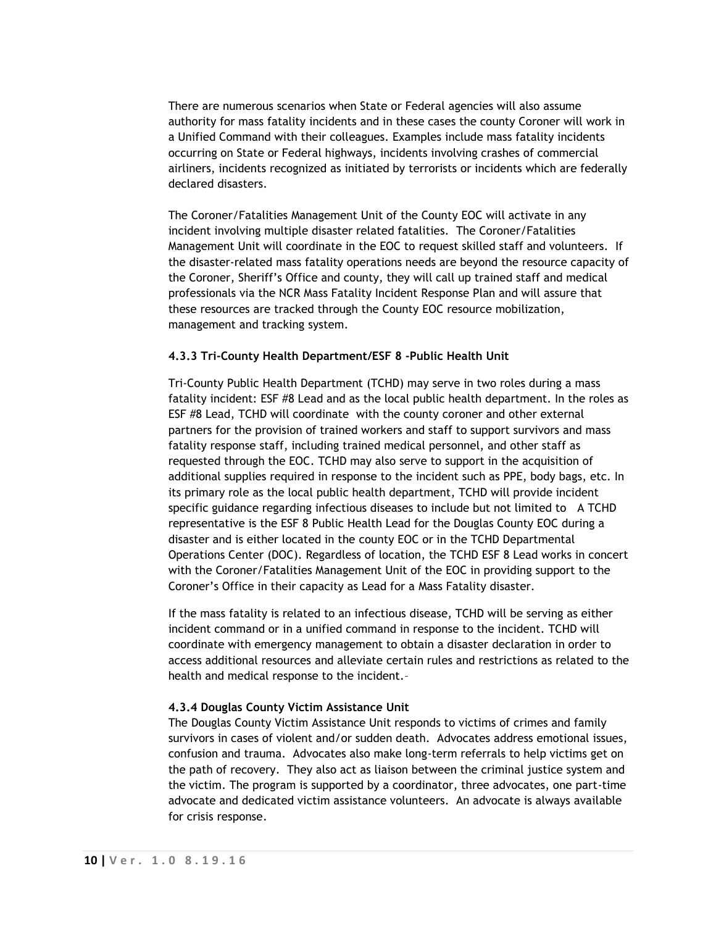There are numerous scenarios when State or Federal agencies will also assume authority for mass fatality incidents and in these cases the county Coroner will work in a Unified Command with their colleagues. Examples include mass fatality incidents occurring on State or Federal highways, incidents involving crashes of commercial airliners, incidents recognized as initiated by terrorists or incidents which are federally declared disasters.

The Coroner/Fatalities Management Unit of the County EOC will activate in any incident involving multiple disaster related fatalities. The Coroner/Fatalities Management Unit will coordinate in the EOC to request skilled staff and volunteers. If the disaster-related mass fatality operations needs are beyond the resource capacity of the Coroner, Sheriff's Office and county, they will call up trained staff and medical professionals via the NCR Mass Fatality Incident Response Plan and will assure that these resources are tracked through the County EOC resource mobilization, management and tracking system.

#### **4.3.3 Tri-County Health Department/ESF 8 -Public Health Unit**

Tri-County Public Health Department (TCHD) may serve in two roles during a mass fatality incident: ESF #8 Lead and as the local public health department. In the roles as ESF #8 Lead, TCHD will coordinate with the county coroner and other external partners for the provision of trained workers and staff to support survivors and mass fatality response staff, including trained medical personnel, and other staff as requested through the EOC. TCHD may also serve to support in the acquisition of additional supplies required in response to the incident such as PPE, body bags, etc. In its primary role as the local public health department, TCHD will provide incident specific guidance regarding infectious diseases to include but not limited to A TCHD representative is the ESF 8 Public Health Lead for the Douglas County EOC during a disaster and is either located in the county EOC or in the TCHD Departmental Operations Center (DOC). Regardless of location, the TCHD ESF 8 Lead works in concert with the Coroner/Fatalities Management Unit of the EOC in providing support to the Coroner's Office in their capacity as Lead for a Mass Fatality disaster.

If the mass fatality is related to an infectious disease, TCHD will be serving as either incident command or in a unified command in response to the incident. TCHD will coordinate with emergency management to obtain a disaster declaration in order to access additional resources and alleviate certain rules and restrictions as related to the health and medical response to the incident.–

## **4.3.4 Douglas County Victim Assistance Unit**

The Douglas County Victim Assistance Unit responds to victims of crimes and family survivors in cases of violent and/or sudden death. Advocates address emotional issues, confusion and trauma. Advocates also make long-term referrals to help victims get on the path of recovery. They also act as liaison between the criminal justice system and the victim. The program is supported by a coordinator, three advocates, one part-time advocate and dedicated victim assistance volunteers. An advocate is always available for crisis response.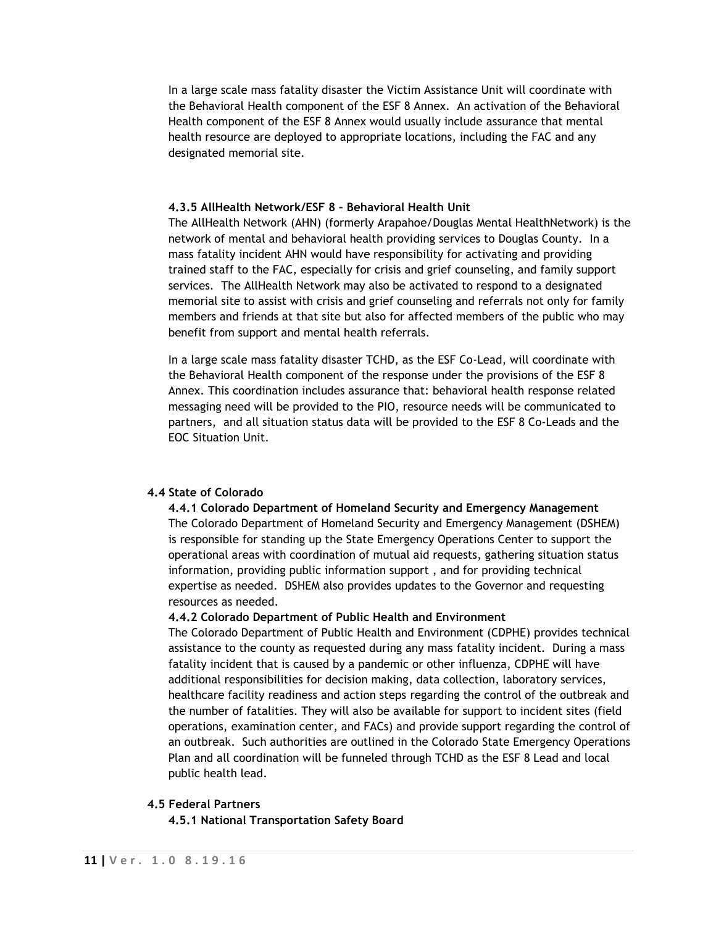In a large scale mass fatality disaster the Victim Assistance Unit will coordinate with the Behavioral Health component of the ESF 8 Annex. An activation of the Behavioral Health component of the ESF 8 Annex would usually include assurance that mental health resource are deployed to appropriate locations, including the FAC and any designated memorial site.

#### **4.3.5 AllHealth Network/ESF 8 – Behavioral Health Unit**

The AllHealth Network (AHN) (formerly Arapahoe/Douglas Mental HealthNetwork) is the network of mental and behavioral health providing services to Douglas County. In a mass fatality incident AHN would have responsibility for activating and providing trained staff to the FAC, especially for crisis and grief counseling, and family support services. The AllHealth Network may also be activated to respond to a designated memorial site to assist with crisis and grief counseling and referrals not only for family members and friends at that site but also for affected members of the public who may benefit from support and mental health referrals.

In a large scale mass fatality disaster TCHD, as the ESF Co-Lead, will coordinate with the Behavioral Health component of the response under the provisions of the ESF 8 Annex. This coordination includes assurance that: behavioral health response related messaging need will be provided to the PIO, resource needs will be communicated to partners, and all situation status data will be provided to the ESF 8 Co-Leads and the EOC Situation Unit.

### **4.4 State of Colorado**

**4.4.1 Colorado Department of Homeland Security and Emergency Management** The Colorado Department of Homeland Security and Emergency Management (DSHEM) is responsible for standing up the State Emergency Operations Center to support the operational areas with coordination of mutual aid requests, gathering situation status information, providing public information support , and for providing technical expertise as needed. DSHEM also provides updates to the Governor and requesting resources as needed.

#### **4.4.2 Colorado Department of Public Health and Environment**

The Colorado Department of Public Health and Environment (CDPHE) provides technical assistance to the county as requested during any mass fatality incident. During a mass fatality incident that is caused by a pandemic or other influenza, CDPHE will have additional responsibilities for decision making, data collection, laboratory services, healthcare facility readiness and action steps regarding the control of the outbreak and the number of fatalities. They will also be available for support to incident sites (field operations, examination center, and FACs) and provide support regarding the control of an outbreak. Such authorities are outlined in the Colorado State Emergency Operations Plan and all coordination will be funneled through TCHD as the ESF 8 Lead and local public health lead.

#### **4.5 Federal Partners**

**4.5.1 National Transportation Safety Board**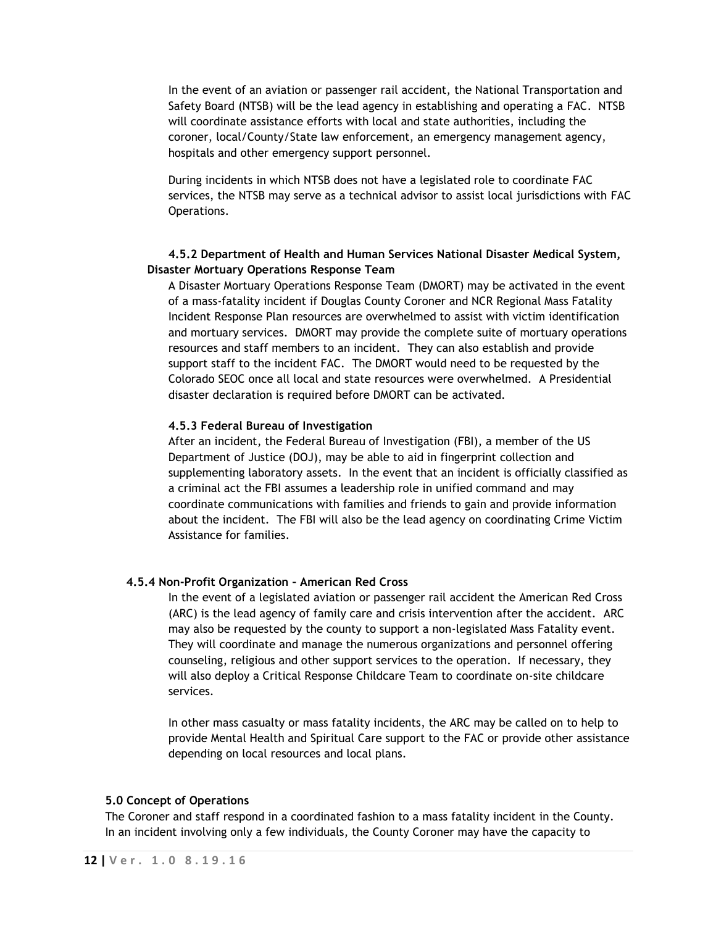In the event of an aviation or passenger rail accident, the National Transportation and Safety Board (NTSB) will be the lead agency in establishing and operating a FAC. NTSB will coordinate assistance efforts with local and state authorities, including the coroner, local/County/State law enforcement, an emergency management agency, hospitals and other emergency support personnel.

During incidents in which NTSB does not have a legislated role to coordinate FAC services, the NTSB may serve as a technical advisor to assist local jurisdictions with FAC Operations.

# **4.5.2 Department of Health and Human Services National Disaster Medical System, Disaster Mortuary Operations Response Team**

A Disaster Mortuary Operations Response Team (DMORT) may be activated in the event of a mass-fatality incident if Douglas County Coroner and NCR Regional Mass Fatality Incident Response Plan resources are overwhelmed to assist with victim identification and mortuary services. DMORT may provide the complete suite of mortuary operations resources and staff members to an incident. They can also establish and provide support staff to the incident FAC. The DMORT would need to be requested by the Colorado SEOC once all local and state resources were overwhelmed. A Presidential disaster declaration is required before DMORT can be activated.

### **4.5.3 Federal Bureau of Investigation**

After an incident, the Federal Bureau of Investigation (FBI), a member of the US Department of Justice (DOJ), may be able to aid in fingerprint collection and supplementing laboratory assets. In the event that an incident is officially classified as a criminal act the FBI assumes a leadership role in unified command and may coordinate communications with families and friends to gain and provide information about the incident. The FBI will also be the lead agency on coordinating Crime Victim Assistance for families.

## **4.5.4 Non-Profit Organization – American Red Cross**

In the event of a legislated aviation or passenger rail accident the American Red Cross (ARC) is the lead agency of family care and crisis intervention after the accident. ARC may also be requested by the county to support a non-legislated Mass Fatality event. They will coordinate and manage the numerous organizations and personnel offering counseling, religious and other support services to the operation. If necessary, they will also deploy a Critical Response Childcare Team to coordinate on-site childcare services.

In other mass casualty or mass fatality incidents, the ARC may be called on to help to provide Mental Health and Spiritual Care support to the FAC or provide other assistance depending on local resources and local plans.

#### **5.0 Concept of Operations**

The Coroner and staff respond in a coordinated fashion to a mass fatality incident in the County. In an incident involving only a few individuals, the County Coroner may have the capacity to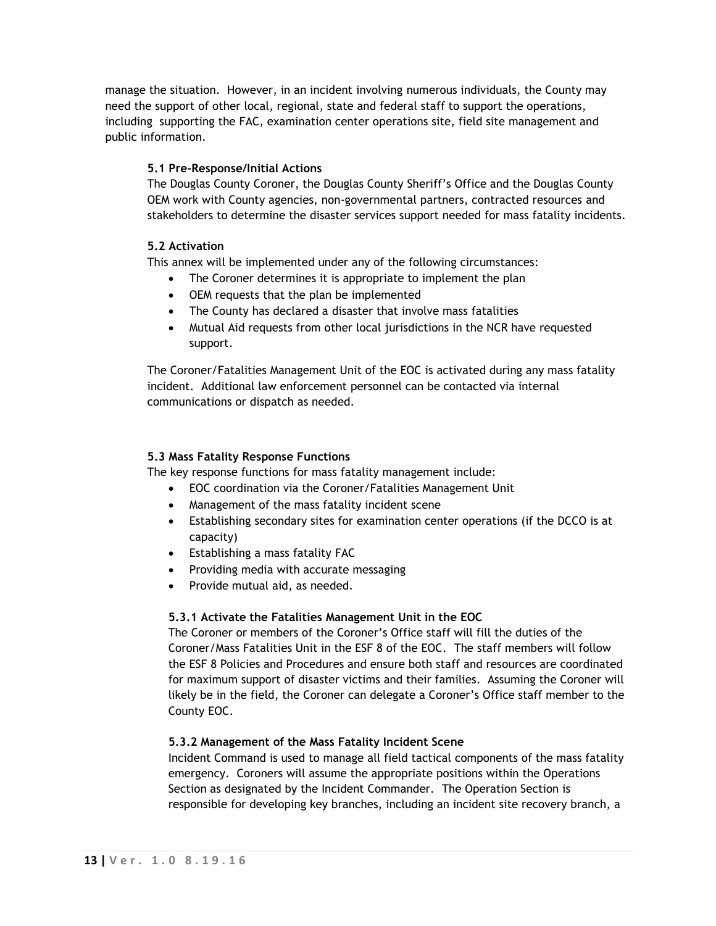manage the situation. However, in an incident involving numerous individuals, the County may need the support of other local, regional, state and federal staff to support the operations, including supporting the FAC, examination center operations site, field site management and public information.

# **5.1 Pre-Response/Initial Actions**

The Douglas County Coroner, the Douglas County Sheriff's Office and the Douglas County OEM work with County agencies, non-governmental partners, contracted resources and stakeholders to determine the disaster services support needed for mass fatality incidents.

# **5.2 Activation**

This annex will be implemented under any of the following circumstances:

- The Coroner determines it is appropriate to implement the plan
- OEM requests that the plan be implemented
- The County has declared a disaster that involve mass fatalities
- Mutual Aid requests from other local jurisdictions in the NCR have requested support.

The Coroner/Fatalities Management Unit of the EOC is activated during any mass fatality incident. Additional law enforcement personnel can be contacted via internal communications or dispatch as needed.

# **5.3 Mass Fatality Response Functions**

The key response functions for mass fatality management include:

- EOC coordination via the Coroner/Fatalities Management Unit
- Management of the mass fatality incident scene
- Establishing secondary sites for examination center operations (if the DCCO is at capacity)
- Establishing a mass fatality FAC
- Providing media with accurate messaging
- Provide mutual aid, as needed.

## **5.3.1 Activate the Fatalities Management Unit in the EOC**

The Coroner or members of the Coroner's Office staff will fill the duties of the Coroner/Mass Fatalities Unit in the ESF 8 of the EOC. The staff members will follow the ESF 8 Policies and Procedures and ensure both staff and resources are coordinated for maximum support of disaster victims and their families. Assuming the Coroner will likely be in the field, the Coroner can delegate a Coroner's Office staff member to the County EOC.

## **5.3.2 Management of the Mass Fatality Incident Scene**

Incident Command is used to manage all field tactical components of the mass fatality emergency. Coroners will assume the appropriate positions within the Operations Section as designated by the Incident Commander. The Operation Section is responsible for developing key branches, including an incident site recovery branch, a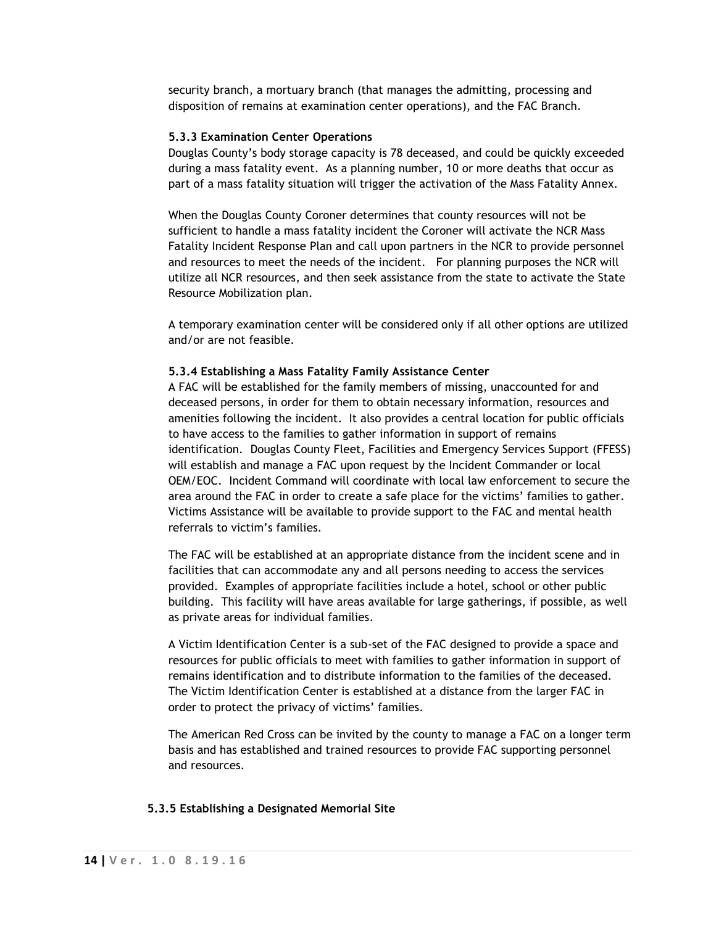security branch, a mortuary branch (that manages the admitting, processing and disposition of remains at examination center operations), and the FAC Branch.

### **5.3.3 Examination Center Operations**

Douglas County's body storage capacity is 78 deceased, and could be quickly exceeded during a mass fatality event. As a planning number, 10 or more deaths that occur as part of a mass fatality situation will trigger the activation of the Mass Fatality Annex.

When the Douglas County Coroner determines that county resources will not be sufficient to handle a mass fatality incident the Coroner will activate the NCR Mass Fatality Incident Response Plan and call upon partners in the NCR to provide personnel and resources to meet the needs of the incident. For planning purposes the NCR will utilize all NCR resources, and then seek assistance from the state to activate the State Resource Mobilization plan.

A temporary examination center will be considered only if all other options are utilized and/or are not feasible.

#### **5.3.4 Establishing a Mass Fatality Family Assistance Center**

A FAC will be established for the family members of missing, unaccounted for and deceased persons, in order for them to obtain necessary information, resources and amenities following the incident. It also provides a central location for public officials to have access to the families to gather information in support of remains identification. Douglas County Fleet, Facilities and Emergency Services Support (FFESS) will establish and manage a FAC upon request by the Incident Commander or local OEM/EOC. Incident Command will coordinate with local law enforcement to secure the area around the FAC in order to create a safe place for the victims' families to gather. Victims Assistance will be available to provide support to the FAC and mental health referrals to victim's families.

The FAC will be established at an appropriate distance from the incident scene and in facilities that can accommodate any and all persons needing to access the services provided. Examples of appropriate facilities include a hotel, school or other public building. This facility will have areas available for large gatherings, if possible, as well as private areas for individual families.

A Victim Identification Center is a sub-set of the FAC designed to provide a space and resources for public officials to meet with families to gather information in support of remains identification and to distribute information to the families of the deceased. The Victim Identification Center is established at a distance from the larger FAC in order to protect the privacy of victims' families.

The American Red Cross can be invited by the county to manage a FAC on a longer term basis and has established and trained resources to provide FAC supporting personnel and resources.

#### **5.3.5 Establishing a Designated Memorial Site**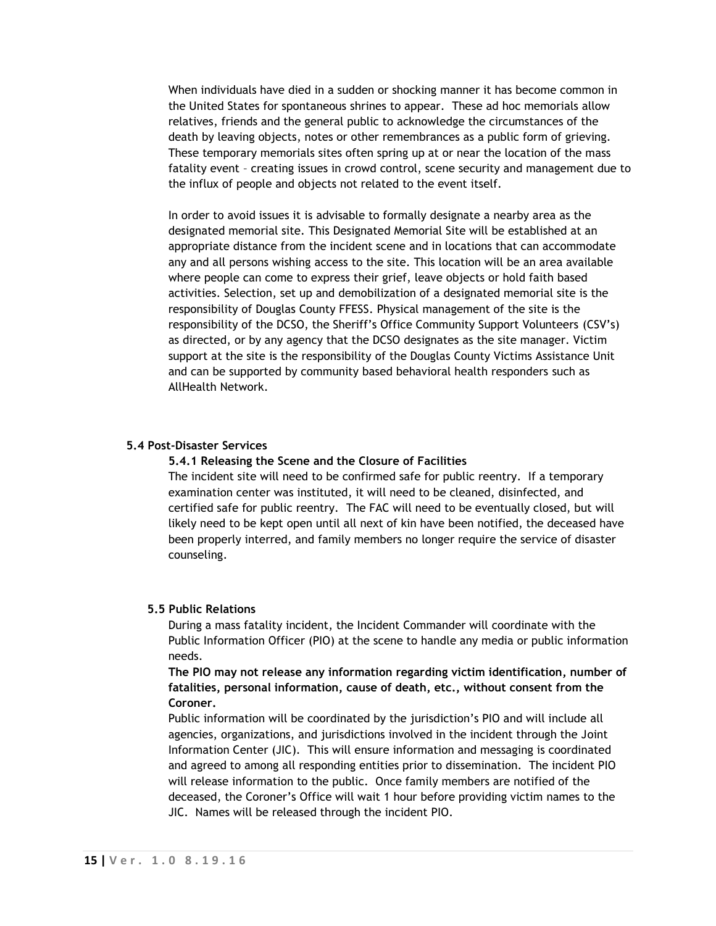When individuals have died in a sudden or shocking manner it has become common in the United States for spontaneous shrines to appear. These ad hoc memorials allow relatives, friends and the general public to acknowledge the circumstances of the death by leaving objects, notes or other remembrances as a public form of grieving. These temporary memorials sites often spring up at or near the location of the mass fatality event – creating issues in crowd control, scene security and management due to the influx of people and objects not related to the event itself.

In order to avoid issues it is advisable to formally designate a nearby area as the designated memorial site. This Designated Memorial Site will be established at an appropriate distance from the incident scene and in locations that can accommodate any and all persons wishing access to the site. This location will be an area available where people can come to express their grief, leave objects or hold faith based activities. Selection, set up and demobilization of a designated memorial site is the responsibility of Douglas County FFESS. Physical management of the site is the responsibility of the DCSO, the Sheriff's Office Community Support Volunteers (CSV's) as directed, or by any agency that the DCSO designates as the site manager. Victim support at the site is the responsibility of the Douglas County Victims Assistance Unit and can be supported by community based behavioral health responders such as AllHealth Network.

#### **5.4 Post-Disaster Services**

**5.4.1 Releasing the Scene and the Closure of Facilities**

The incident site will need to be confirmed safe for public reentry. If a temporary examination center was instituted, it will need to be cleaned, disinfected, and certified safe for public reentry. The FAC will need to be eventually closed, but will likely need to be kept open until all next of kin have been notified, the deceased have been properly interred, and family members no longer require the service of disaster counseling.

#### **5.5 Public Relations**

During a mass fatality incident, the Incident Commander will coordinate with the Public Information Officer (PIO) at the scene to handle any media or public information needs.

**The PIO may not release any information regarding victim identification, number of fatalities, personal information, cause of death, etc., without consent from the Coroner.**

Public information will be coordinated by the jurisdiction's PIO and will include all agencies, organizations, and jurisdictions involved in the incident through the Joint Information Center (JIC). This will ensure information and messaging is coordinated and agreed to among all responding entities prior to dissemination. The incident PIO will release information to the public. Once family members are notified of the deceased, the Coroner's Office will wait 1 hour before providing victim names to the JIC. Names will be released through the incident PIO.